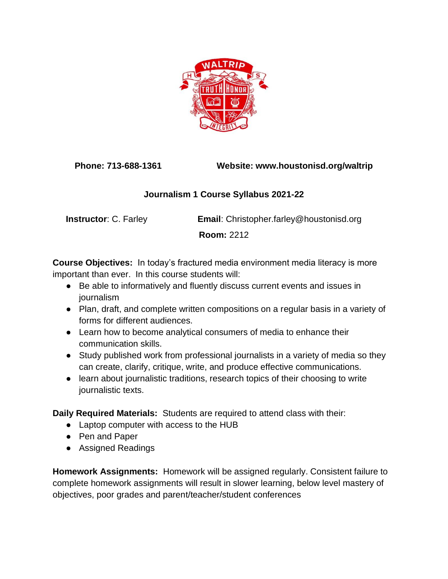

**Phone: 713-688-1361 Website: www.houstonisd.org/waltrip**

## **Journalism 1 Course Syllabus 2021-22**

**Instructor**: C. Farley **Email**: Christopher.farley@houstonisd.org

**Room:** 2212

**Course Objectives:** In today's fractured media environment media literacy is more important than ever. In this course students will:

- Be able to informatively and fluently discuss current events and issues in journalism
- Plan, draft, and complete written compositions on a regular basis in a variety of forms for different audiences.
- Learn how to become analytical consumers of media to enhance their communication skills.
- Study published work from professional journalists in a variety of media so they can create, clarify, critique, write, and produce effective communications.
- learn about journalistic traditions, research topics of their choosing to write journalistic texts.

**Daily Required Materials:** Students are required to attend class with their:

- Laptop computer with access to the HUB
- Pen and Paper
- Assigned Readings

**Homework Assignments:** Homework will be assigned regularly. Consistent failure to complete homework assignments will result in slower learning, below level mastery of objectives, poor grades and parent/teacher/student conferences